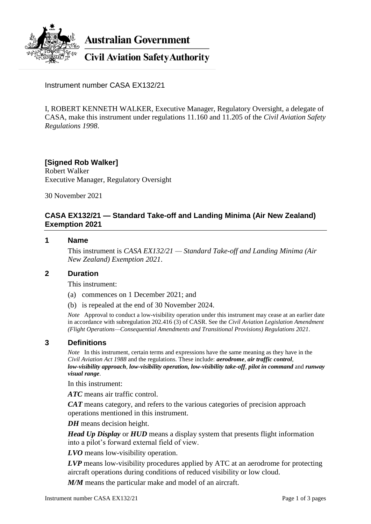

**Australian Government** 

**Civil Aviation Safety Authority** 

Instrument number CASA EX132/21

I, ROBERT KENNETH WALKER, Executive Manager, Regulatory Oversight, a delegate of CASA, make this instrument under regulations 11.160 and 11.205 of the *Civil Aviation Safety Regulations 1998*.

**[Signed Rob Walker]** Robert Walker Executive Manager, Regulatory Oversight

30 November 2021

# **CASA EX132/21 — Standard Take-off and Landing Minima (Air New Zealand) Exemption 2021**

#### **1 Name**

This instrument is *CASA EX132/21 — Standard Take-off and Landing Minima (Air New Zealand) Exemption 2021*.

## **2 Duration**

This instrument:

(a) commences on 1 December 2021; and

(b) is repealed at the end of 30 November 2024.

*Note* Approval to conduct a low-visibility operation under this instrument may cease at an earlier date in accordance with subregulation 202.416 (3) of CASR. See the *Civil Aviation Legislation Amendment (Flight Operations—Consequential Amendments and Transitional Provisions) Regulations 2021*.

#### **3 Definitions**

*Note* In this instrument, certain terms and expressions have the same meaning as they have in the *Civil Aviation Act 1988* and the regulations. These include: *aerodrome*, *air traffic control*, *low-visibility approach*, *low-visibility operation, low-visibility take-off*, *pilot in command* and *runway visual range*.

In this instrument:

*ATC* means air traffic control.

*CAT* means category, and refers to the various categories of precision approach operations mentioned in this instrument.

*DH* means decision height.

*Head Up Display* or *HUD* means a display system that presents flight information into a pilot's forward external field of view.

*LVO* means low-visibility operation.

*LVP* means low-visibility procedures applied by ATC at an aerodrome for protecting aircraft operations during conditions of reduced visibility or low cloud.

*M/M* means the particular make and model of an aircraft.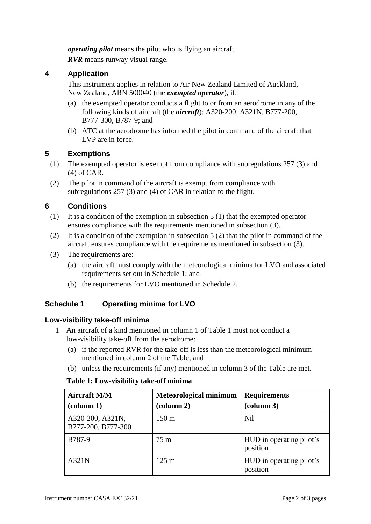*operating pilot* means the pilot who is flying an aircraft.

*RVR* means runway visual range.

# **4 Application**

This instrument applies in relation to Air New Zealand Limited of Auckland, New Zealand, ARN 500040 (the *exempted operator*), if:

- (a) the exempted operator conducts a flight to or from an aerodrome in any of the following kinds of aircraft (the *aircraft*): A320-200, A321N, B777-200, B777-300, B787-9; and
- (b) ATC at the aerodrome has informed the pilot in command of the aircraft that LVP are in force.

# **5 Exemptions**

- (1) The exempted operator is exempt from compliance with subregulations 257 (3) and (4) of CAR.
- (2) The pilot in command of the aircraft is exempt from compliance with subregulations 257 (3) and (4) of CAR in relation to the flight.

# **6 Conditions**

- (1) It is a condition of the exemption in subsection 5 (1) that the exempted operator ensures compliance with the requirements mentioned in subsection (3).
- (2) It is a condition of the exemption in subsection 5 (2) that the pilot in command of the aircraft ensures compliance with the requirements mentioned in subsection (3).
- (3) The requirements are:
	- (a) the aircraft must comply with the meteorological minima for LVO and associated requirements set out in Schedule 1; and
	- (b) the requirements for LVO mentioned in Schedule 2.

# **Schedule 1 Operating minima for LVO**

## **Low-visibility take-off minima**

- 1 An aircraft of a kind mentioned in column 1 of Table 1 must not conduct a low-visibility take-off from the aerodrome:
	- (a) if the reported RVR for the take-off is less than the meteorological minimum mentioned in column 2 of the Table; and
	- (b) unless the requirements (if any) mentioned in column 3 of the Table are met.

#### **Table 1: Low-visibility take-off minima**

| <b>Aircraft M/M</b>                    | <b>Meteorological minimum</b>   | <b>Requirements</b>                  |
|----------------------------------------|---------------------------------|--------------------------------------|
| $\left(\text{column } 1\right)$        | $\left(\text{column } 2\right)$ | (column 3)                           |
| A320-200, A321N,<br>B777-200, B777-300 | $150 \text{ m}$                 | <b>Nil</b>                           |
| B787-9                                 | 75 m                            | HUD in operating pilot's<br>position |
| A321N                                  | $125 \text{ m}$                 | HUD in operating pilot's<br>position |